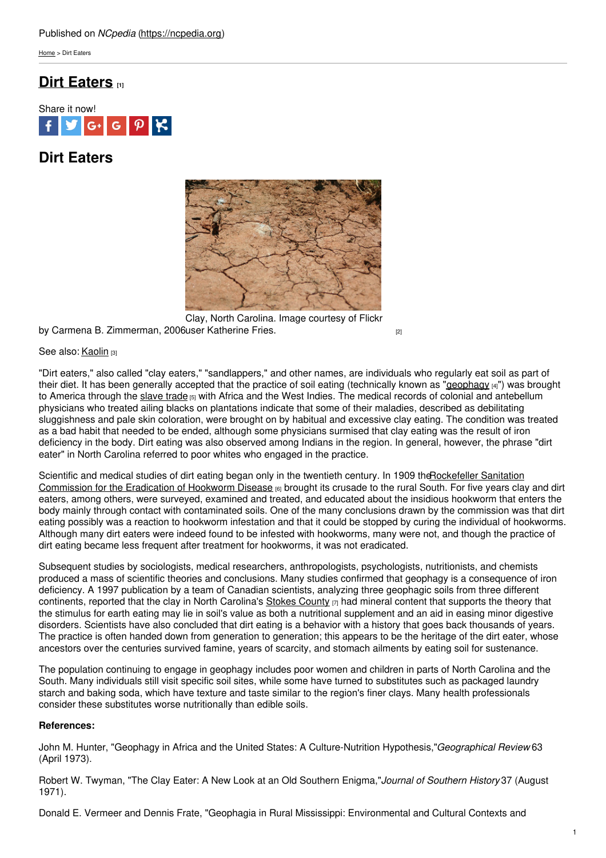[Home](https://ncpedia.org/) > Dirt Eaters

# **Dirt [Eaters](https://ncpedia.org/dirt-eaters) [1]**



# **Dirt Eaters**



by Carmena B. Zimmerman, 2006 user [Katherine](https://www.flickr.com/photos/saiberiac/3712404845/) Fries. [2] Clay, North Carolina. Image courtesy of Flickr

### See also: [Kaolin](https://ncpedia.org/kaolin) [3]

"Dirt eaters," also called "clay eaters," "sandlappers," and other names, are individuals who regularly eat soil as part of their diet. It has been generally accepted that the practice of soil eating (technically known as ["geophagy](http://www.merriam-webster.com/medical/geophagy) [4]") was brought to America through the [slave](https://ncpedia.org/slavery) trade [5] with Africa and the West Indies. The medical records of colonial and antebellum physicians who treated ailing blacks on plantations indicate that some of their maladies, described as debilitating sluggishness and pale skin coloration, were brought on by habitual and excessive clay eating. The condition was treated as a bad habit that needed to be ended, although some physicians surmised that clay eating was the result of iron deficiency in the body. Dirt eating was also observed among Indians in the region. In general, however, the phrase "dirt eater" in North Carolina referred to poor whites who engaged in the practice.

Scientific and medical studies of dirt eating began only in the twentieth century. In 1909 [theRockefeller](http://www.rockarch.org/collections/rockorgs/hookworm.php) Sanitation Commission for the Eradication of Hookworm Disease [6] brought its crusade to the rural South. For five years clay and dirt eaters, among others, were surveyed, examined and treated, and educated about the insidious hookworm that enters the body mainly through contact with contaminated soils. One of the many conclusions drawn by the commission was that dirt eating possibly was a reaction to hookworm infestation and that it could be stopped by curing the individual of hookworms. Although many dirt eaters were indeed found to be infested with hookworms, many were not, and though the practice of dirt eating became less frequent after treatment for hookworms, it was not eradicated.

Subsequent studies by sociologists, medical researchers, anthropologists, psychologists, nutritionists, and chemists produced a mass of scientific theories and conclusions. Many studies confirmed that geophagy is a consequence of iron deficiency. A 1997 publication by a team of Canadian scientists, analyzing three geophagic soils from three different continents, reported that the clay in North Carolina's Stokes [County](https://ncpedia.org/geography/stokes)  $[7]$  had mineral content that supports the theory that the stimulus for earth eating may lie in soil's value as both a nutritional supplement and an aid in easing minor digestive disorders. Scientists have also concluded that dirt eating is a behavior with a history that goes back thousands of years. The practice is often handed down from generation to generation; this appears to be the heritage of the dirt eater, whose ancestors over the centuries survived famine, years of scarcity, and stomach ailments by eating soil for sustenance.

The population continuing to engage in geophagy includes poor women and children in parts of North Carolina and the South. Many individuals still visit specific soil sites, while some have turned to substitutes such as packaged laundry starch and baking soda, which have texture and taste similar to the region's finer clays. Many health professionals consider these substitutes worse nutritionally than edible soils.

## **References:**

John M. Hunter, "Geophagy in Africa and the United States: A Culture-Nutrition Hypothesis,"*Geographical Review* 63 (April 1973).

Robert W. Twyman, "The Clay Eater: A New Look at an Old Southern Enigma,"*Journal of Southern History* 37 (August 1971).

Donald E. Vermeer and Dennis Frate, "Geophagia in Rural Mississippi: Environmental and Cultural Contexts and